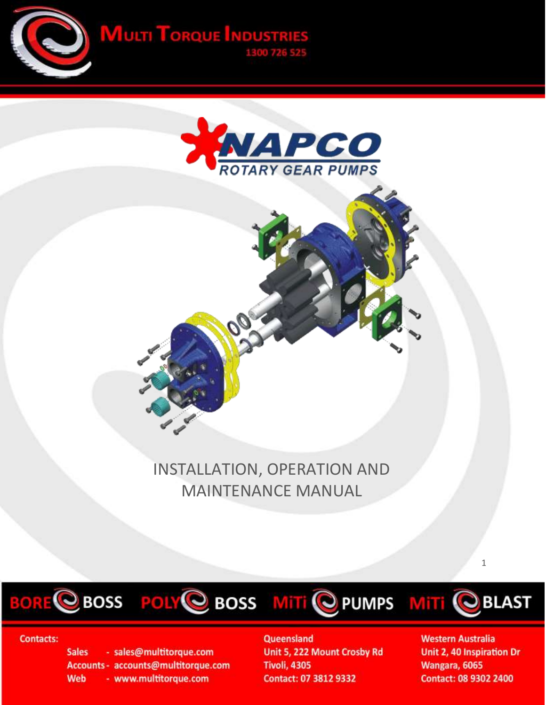













# **Contacts:**

**Sales** - sales@multitorque.com Accounts - accounts@multitorque.com **Web** - www.multitorque.com

Queensland Unit 5, 222 Mount Crosby Rd **Tivoli, 4305** Contact: 07 3812 9332

**Western Australia** Unit 2, 40 Inspiration Dr Wangara, 6065 **Contact: 08 9302 2400** 

 $\mathbf 1$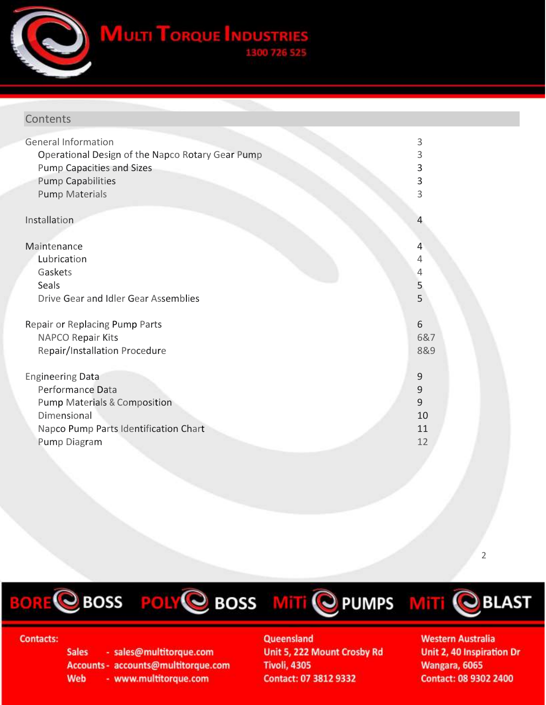**MULTI TORQUE INDUSTR** 

# **Contents**

| <b>General Information</b>                       | 3   |
|--------------------------------------------------|-----|
| Operational Design of the Napco Rotary Gear Pump | 3   |
| <b>Pump Capacities and Sizes</b>                 | 3   |
| <b>Pump Capabilities</b>                         | 3   |
| <b>Pump Materials</b>                            | 3   |
| Installation                                     | 4   |
| Maintenance                                      | 4   |
| Lubrication                                      | 4   |
| Gaskets                                          | 4   |
| Seals                                            | 5   |
| Drive Gear and Idler Gear Assemblies             | 5   |
| Repair or Replacing Pump Parts                   | 6   |
| NAPCO Repair Kits                                | 6&7 |
| Repair/Installation Procedure                    | 8&9 |
| <b>Engineering Data</b>                          | 9   |
| Performance Data                                 | 9   |
| <b>Pump Materials &amp; Composition</b>          | 9   |
| Dimensional                                      | 10  |
| Napco Pump Parts Identification Chart            | 11  |
| Pump Diagram                                     | 12  |

2

BORE CBOSS POLY CBOSS MITI C PUMPS MITI CBLAST





# **Contacts:**

**Sales** - sales@multitorque.com Accounts - accounts@multitorque.com **Web** - www.multitorque.com

# Queensland

Unit 5, 222 Mount Crosby Rd **Tivoli, 4305** Contact: 07 3812 9332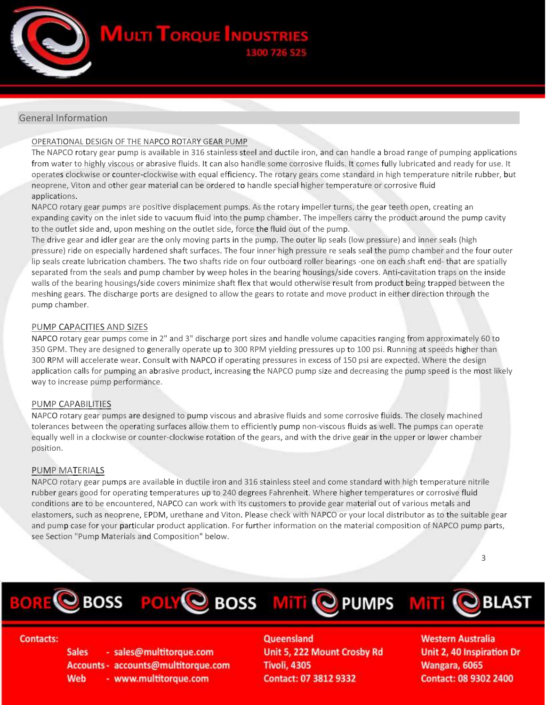**MULTI TORQUE INDU** 

# General Information

### OPERATIONAL DESIGN OF THE NAPCO ROTARY GEAR PUMP

The NAPCO rotary gear pump is available in 316 stainless steel and ductile iron, and can handle a broad range of pumping applications from water to highly viscous or abrasive fluids. It can also handle some corrosive fluids. It comes fully lubricated and ready for use. It operates clockwise or counter-clockwise with equal efficiency. The rotary gears come standard in high temperature nitrile rubber, but neoprene, Viton and other gear material can be ordered to handle special higher temperature or corrosive fluid applications.

NAPCO rotary gear pumps are positive displacement pumps. As the rotary impeller turns, the gear teeth open, creating an expanding cavity on the inlet side to vacuum fluid into the pump chamber. The impellers carry the product around the pump cavity to the outlet side and, upon meshing on the outlet side, force the fluid out of the pump.

The drive gear and idler gear are the only moving parts in the pump. The outer lip seals (low pressure) and inner seals (high pressure) ride on especially hardened shaft surfaces. The four inner high pressure re seals seal the pump chamber and the four outer lip seals create lubrication chambers. The two shafts ride on four outboard roller bearings -one on each shaft end- that are spatially separated from the seals and pump chamber by weep holes in the bearing housings/side covers. Anti-cavitation traps on the inside walls of the bearing housings/side covers minimize shaft flex that would otherwise result from product being trapped between the meshing gears. The discharge ports are designed to allow the gears to rotate and move product in either direction through the pump chamber.

#### PUMP CAPACITIES AND SIZES

NAPCO rotary gear pumps come in 2" and 3" discharge port sizes and handle volume capacities ranging from approximately 60 to 350 GPM. They are designed to generally operate up to 300 RPM yielding pressures up to 100 psi. Running at speeds higher than 300 RPM will accelerate wear. Consult with NAPCO if operating pressures in excess of 150 psi are expected. Where the design application calls for pumping an abrasive product, increasing the NAPCO pump size and decreasing the pump speed is the most likely way to increase pump performance.

#### PUMP CAPABILITIES

NAPCO rotary gear pumps are designed to pump viscous and abrasive fluids and some corrosive fluids. The closely machined tolerances between the operating surfaces allow them to efficiently pump non-viscous fluids as well. The pumps can operate equally well in a clockwise or counter-clockwise rotation of the gears, and with the drive gear in the upper or lower chamber position.

### PUMP MATERIALS

NAPCO rotary gear pumps are available in ductile iron and 316 stainless steel and come standard with high temperature nitrile rubber gears good for operating temperatures up to 240 degrees Fahrenheit. Where higher temperatures or corrosive fluid conditions are to be encountered, NAPCO can work with its customers to provide gear material out of various metals and elastomers, such as neoprene, EPDM, urethane and Viton. Please check with NAPCO or your local distributor as to the suitable gear and pump case for your particular product application. For further information on the material composition of NAPCO pump parts, see Section "Pump Materials and Composition" below.

3









## **Contacts:**

**Sales** - sales@multitorque.com Accounts - accounts@multitorque.com Web - www.multitorque.com

Queensland Unit 5, 222 Mount Crosby Rd **Tivoli, 4305** Contact: 07 3812 9332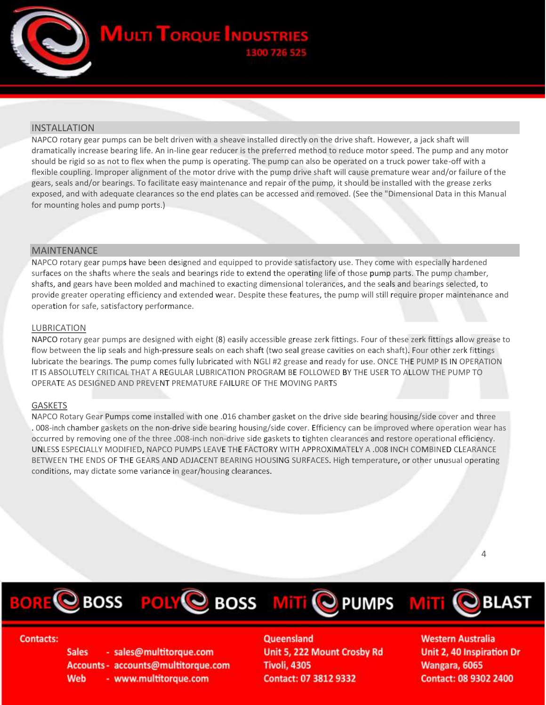

## INSTALLATION

NAPCO rotary gear pumps can be belt driven with a sheave installed directly on the drive shaft. However, a jack shaft will dramatically increase bearing life. An in-line gear reducer is the preferred method to reduce motor speed. The pump and any motor should be rigid so as not to flex when the pump is operating. The pump can also be operated on a truck power take-off with a flexible coupling. Improper alignment of the motor drive with the pump drive shaft will cause premature wear and/or failure of the gears, seals and/or bearings. To facilitate easy maintenance and repair of the pump, it should be installed with the grease zerks exposed, and with adequate clearances so the end plates can be accessed and removed. (See the "Dimensional Data in this Manual for mounting holes and pump ports.)

## MAINTENANCE

NAPCO rotary gear pumps have been designed and equipped to provide satisfactory use. They come with especially hardened surfaces on the shafts where the seals and bearings ride to extend the operating life of those pump parts. The pump chamber, shafts, and gears have been molded and machined to exacting dimensional tolerances, and the seals and bearings selected, to provide greater operating efficiency and extended wear. Despite these features, the pump will still require proper maintenance and operation for safe, satisfactory performance.

#### LUBRICATION

NAPCO rotary gear pumps are designed with eight (8) easily accessible grease zerk fittings. Four of these zerk fittings allow grease to flow between the lip seals and high-pressure seals on each shaft (two seal grease cavities on each shaft). Four other zerk fittings lubricate the bearings. The pump comes fully lubricated with NGLl #2 grease and ready for use. ONCE THE PUMP IS IN OPERATION IT IS ABSOLUTELY CRITICAL THAT A REGULAR LUBRICATION PROGRAM BE FOLLOWED BY THE USER TO ALLOW THE PUMP TO OPERATE AS DESIGNED AND PREVENT PREMATURE FAILURE OF THE MOVING PARTS

#### GASKETS

NAPCO Rotary Gear Pumps come installed with one .016 chamber gasket on the drive side bearing housing/side cover and three . 008-inch chamber gaskets on the non-drive side bearing housing/side cover. Efficiency can be improved where operation wear has occurred by removing one of the three .008-inch non-drive side gaskets to tighten clearances and restore operational efficiency. UNLESS ESPECIALLY MODIFIED, NAPCO PUMPS LEAVE THE FACTORY WITH APPROXIMATELY A .008 INCH COMBINED CLEARANCE BETWEEN THE ENDS OF THE GEARS AND ADJACENT BEARING HOUSING SURFACES. High temperature, or other unusual operating conditions, may dictate some variance in gear/housing clearances.

4

CBOSS POLYC BOSS MITI C PUMPS MITI





### **Contacts:**

- sales@multitorque.com **Sales** Accounts - accounts@multitorque.com **Web** - www.multitorque.com

Queensland

Unit 5, 222 Mount Crosby Rd **Tivoli, 4305** Contact: 07 3812 9332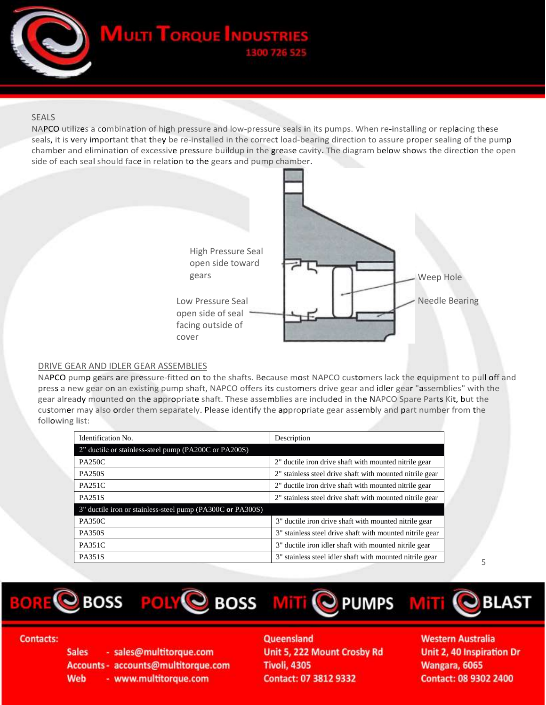**MULTI TORQUE INDUST** 

# SEALS

NAPCO utilizes a combination of high pressure and low-pressure seals in its pumps. When re-installing or replacing these seals, it is very important that they be re-installed in the correct load-bearing direction to assure proper sealing of the pump chamber and elimination of excessive pressure buildup in the grease cavity. The diagram below shows the direction the open side of each seal should face in relation to the gears and pump chamber.



## DRIVE GEAR AND IDLER GEAR ASSEMBLIES

NAPCO pump gears are pressure-fitted on to the shafts. Because most NAPCO customers lack the equipment to pull off and press a new gear on an existing pump shaft, NAPCO offers its customers drive gear and idler gear "assemblies" with the gear already mounted on the appropriate shaft. These assemblies are included in the NAPCO Spare Parts Kit, but the customer may also order them separately. Please identify the appropriate gear assembly and part number from the following list:

| Identification No.                                         | Description                                              |
|------------------------------------------------------------|----------------------------------------------------------|
| 2" ductile or stainless-steel pump (PA200C or PA200S)      |                                                          |
| <b>PA250C</b>                                              | 2" ductile iron drive shaft with mounted nitrile gear    |
| <b>PA250S</b>                                              | 2" stainless steel drive shaft with mounted nitrile gear |
| <b>PA251C</b>                                              | 2" ductile iron drive shaft with mounted nitrile gear    |
| <b>PA251S</b>                                              | 2" stainless steel drive shaft with mounted nitrile gear |
| 3" ductile iron or stainless-steel pump (PA300C or PA300S) |                                                          |
| <b>PA350C</b>                                              | 3" ductile iron drive shaft with mounted nitrile gear    |
| <b>PA350S</b>                                              | 3" stainless steel drive shaft with mounted nitrile gear |
| <b>PA351C</b>                                              | 3" ductile iron idler shaft with mounted nitrile gear    |
| <b>PA351S</b>                                              | 3" stainless steel idler shaft with mounted nitrile gear |

5

BORE CBOSS POLY CBOSS MITI C PUMPS MITI CBLAST





## **Contacts:**

**Sales** - sales@multitorque.com Accounts - accounts@multitorque.com Web - www.multitorque.com

Queensland Unit 5, 222 Mount Crosby Rd **Tivoli, 4305** Contact: 07 3812 9332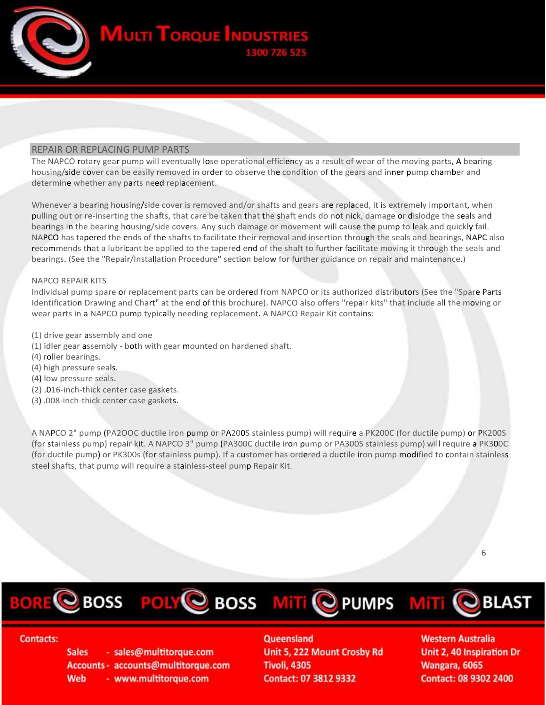**MULTI TORQUE INDU** 

## REPAIR OR REPLACING PUMP PARTS

The NAPCO rotary gear pump will eventually lose operational efficiency as a result of wear of the moving parts, A bearing housing/side cover can be easily removed in order to observe the condition of the gears and inner pump chamber and determine whether any parts need replacement.

Whenever a bearing housing/side cover is removed and/or shafts and gears are replaced, it is extremely important, when pulling out or re-inserting the shafts, that care be taken that the shaft ends do not nick, damage or dislodge the seals and bearings in the bearing housing/side covers. Any such damage or movement will cause the pump to leak and quickly fail. NAPCO has tapered the ends of the shafts to facilitate their removal and insertion through the seals and bearings, NAPC also recommends that a lubricant be applied to the tapered end of the shaft to further facilitate moving it through the seals and bearings. (See the "Repair/Installation Procedure" section below for further guidance on repair and maintenance.)

#### NAPCO REPAIR KITS

Individual pump spare or replacement parts can be ordered from NAPCO or its authorized distributors (See the "Spare Parts Identification Drawing and Chart" at the end of this brochure). NAPCO also offers "repair kits" that include all the moving or wear parts in a NAPCO pump typically needing replacement. A NAPCO Repair Kit contains:

- (1) drive gear assembly and one
- (1) idler gear assembly both with gear mounted on hardened shaft.
- (4) roller bearings.
- (4) high pressure seals.
- (4) low pressure seals.
- (2) .016-inch-thick center case gaskets.
- (3) .008-inch-thick center case gaskets.

A NAPCO 2" pump (PA2OOC ductile iron pump or PA200S stainless pump) will require a PK200C (for ductile pump) or PK200S (for stainless pump) repair kit. A NAPCO 3" pump (PA300C ductile iron pump or PA300S stainless pump) will require a PK300C (for ductile pump) or PK300s (for stainless pump). If a customer has ordered a ductile iron pump modified to contain stainless steel shafts, that pump will require a stainless-steel pump Repair Kit.

6

BORE CBOSS POLY CBOSS MITI C PUMPS MITI





### **Contacts:**

**Sales** - sales@multitorque.com Accounts - accounts@multitorque.com Web - www.multitorque.com

Queensland

Unit 5, 222 Mount Crosby Rd **Tivoli, 4305** Contact: 07 3812 9332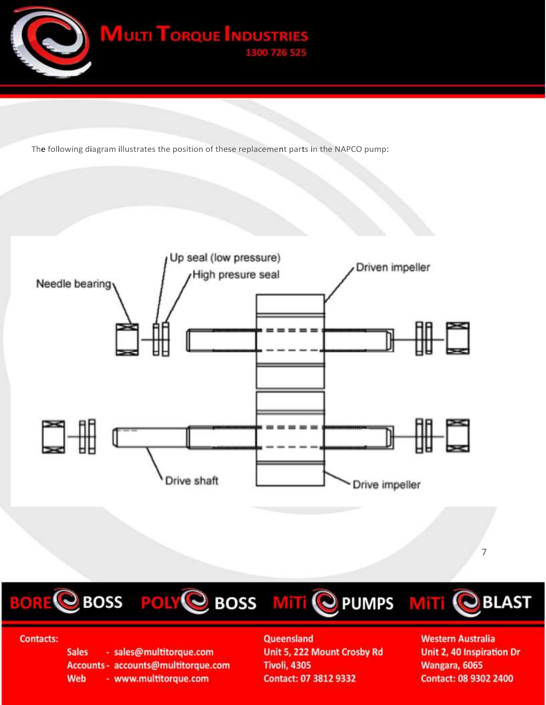

The following diagram illustrates the position of these replacement parts in the NAPCO pump:







# **Contacts:**

**Sales** - sales@multitorque.com Accounts - accounts@multitorque.com **Web** - www.multitorque.com

# Queensland Unit 5, 222 Mount Crosby Rd **Tivoli, 4305**

Contact: 07 3812 9332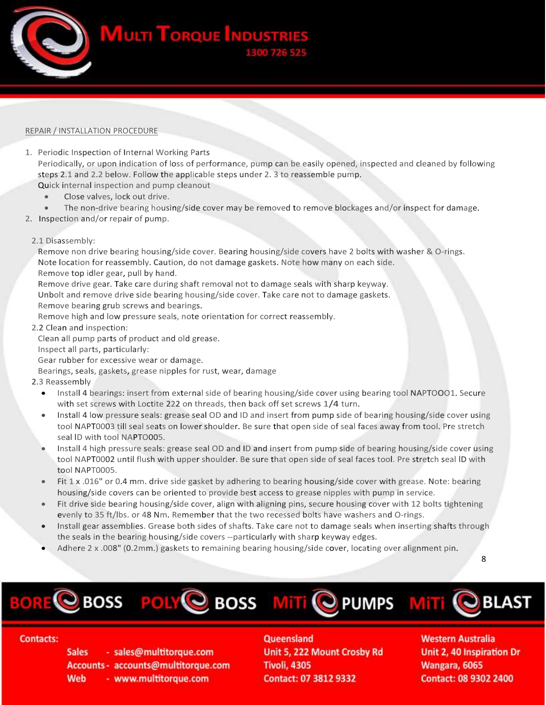

#### REPAIR / INSTALLATION PROCEDURE

- 1. Periodic Inspection of Internal Working Parts Periodically, or upon indication of loss of performance, pump can be easily opened, inspected and cleaned by following steps 2.1 and 2.2 below. Follow the applicable steps under 2. 3 to reassemble pump. Quick internal inspection and pump cleanout
	- Close valves, lock out drive.
	- The non-drive bearing housing/side cover may be removed to remove blockages and/or inspect for damage.
- 2. Inspection and/or repair of pump.
- 2.1 Disassembly:

Remove non drive bearing housing/side cover. Bearing housing/side covers have 2 bolts with washer & O-rings. Note location for reassembly. Caution, do not damage gaskets. Note how many on each side. Remove top idler gear, pull by hand.

Remove drive gear. Take care during shaft removal not to damage seals with sharp keyway. Unbolt and remove drive side bearing housing/side cover. Take care not to damage gaskets. Remove bearing grub screws and bearings.

Remove high and low pressure seals, note orientation for correct reassembly.

2.2 Clean and inspection:

Clean all pump parts of product and old grease.

Inspect all parts, particularly:

Gear rubber for excessive wear or damage.

Bearings, seals, gaskets, grease nipples for rust, wear, damage

### 2.3 Reassembly

- Install 4 bearings: insert from external side of bearing housing/side cover using bearing tool NAPTOOO1. Secure with set screws with Loctite 222 on threads, then back off set screws 1/4 turn.
- Install 4 low pressure seals: grease seal OD and ID and insert from pump side of bearing housing/side cover using tool NAPT0003 till seal seats on lower shoulder. Be sure that open side of seal faces away from tool. Pre stretch seal lD with tool NAPTO005.
- Install 4 high pressure seals: grease seal OD and ID and insert from pump side of bearing housing/side cover using tool NAPT0002 until flush with upper shoulder. Be sure that open side of seal faces tool. Pre stretch seal lD with tool NAPT0005.
- Fit 1 x .016" or 0.4 mm. drive side gasket by adhering to bearing housing/side cover with grease. Note: bearing housing/side covers can be oriented to provide best access to grease nipples with pump in service.
- Fit drive side bearing housing/side cover, align with aligning pins, secure housing cover with 12 bolts tightening evenly to 35 ft/lbs. or 48 Nm. Remember that the two recessed bolts have washers and O-rings.
- Install gear assemblies. Grease both sides of shafts. Take care not to damage seals when inserting shafts through the seals in the bearing housing/side covers --particularly with sharp keyway edges.
- Adhere 2 x .008" (0.2mm.) gaskets to remaining bearing housing/side cover, locating over alignment pin.

8



## **Contacts:**

**Sales** - sales@multitorque.com Accounts - accounts@multitorque.com **Web** - www.multitorque.com

Queensland Unit 5, 222 Mount Crosby Rd **Tivoli, 4305** Contact: 07 3812 9332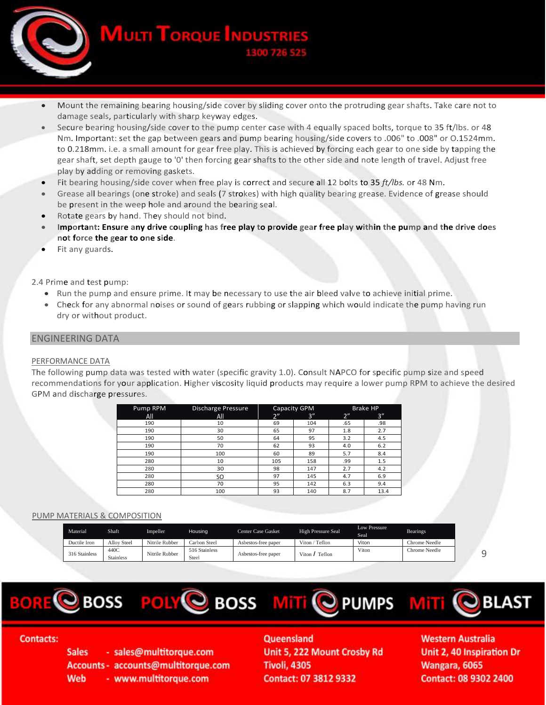

- **MULTI TORQUE INDUST**
- Mount the remaining bearing housing/side cover by sliding cover onto the protruding gear shafts. Take care not to damage seals, particularly with sharp keyway edges.
- Secure bearing housing/side cover to the pump center case with 4 equally spaced bolts, torque to 35 ft/lbs. or 48 Nm. Important: set the gap between gears and pump bearing housing/side covers to .006" to .008" or O.1524mm. to 0.218mm. i.e. a small amount for gear free play. This is achieved by forcing each gear to one side by tapping the gear shaft, set depth gauge to '0' then forcing gear shafts to the other side and note length of travel. Adjust free play by adding or removing gaskets.
- Fit bearing housing/side cover when free play is correct and secure all 12 bolts to 35 *ft/lbs.* or 48 Nm.
- Grease all bearings (one stroke) and seals (7 strokes) with high quality bearing grease. Evidence of grease should be present in the weep hole and around the bearing seal.
- Rotate gears by hand. They should not bind.
- **Important: Ensure any drive coupling has free play to provide gear free play within the pump and the drive does not force the gear to one side**.
- Fit any guards.

2.4 Prime and test pump:

- Run the pump and ensure prime. It may be necessary to use the air bleed valve to achieve initial prime.
- Check for any abnormal noises or sound of gears rubbing or slapping which would indicate the pump having run dry or without product.

## ENGINEERING DATA

#### PERFORMANCE DATA

The following pump data was tested with water (specific gravity 1.0). Consult NAPCO for specific pump size and speed recommendations for your application. Higher viscosity liquid products may require a lower pump RPM to achieve the desired GPM and discharge pressures.

| Pump RPM | <b>Discharge Pressure</b> | Capacity GPM |     | <b>Brake HP</b> |      |
|----------|---------------------------|--------------|-----|-----------------|------|
| All      | All                       | 2"           | 3'' | 2"              | 3''  |
| 190      | 10                        | 69           | 104 | .65             | .98  |
| 190      | 30                        | 65           | 97  | 1.8             | 2.7  |
| 190      | 50                        | 64           | 95  | 3.2             | 4.5  |
| 190      | 70                        | 62           | 93  | 4.0             | 6.2  |
| 190      | 100                       | 60           | 89  | 5.7             | 8.4  |
| 280      | 10                        | 105          | 158 | .99             | 1.5  |
| 280      | 30                        | 98           | 147 | 2.7             | 4.2  |
| 280      | SO                        | 97           | 145 | 4.7             | 6.9  |
| 280      | 70                        | 95           | 142 | 6.3             | 9.4  |
| 280      | 100                       | 93           | 140 | 8.7             | 13.4 |

### PUMP MATERIALS & COMPOSITION

| Material      | Shaft                    | Impeller       | Housing                | Center Case Gasket  | <b>High Pressure Seal</b> | Low Pressure<br>Seal | <b>Bearings</b> |
|---------------|--------------------------|----------------|------------------------|---------------------|---------------------------|----------------------|-----------------|
| Ductile Iron  | Allov Steel              | Nitrile Rubber | Carbon Steel           | Asbestos-free paper | Viton / Teflon            | Viton                | Chrome Needle   |
| 316 Stainless | 440C<br><b>Stainless</b> | Nitrile Rubber | 516 Stainless<br>Steel | Asbestos-free paper | Viton $\int$ Teflon       | Viton                | Chrome Needle   |

9



## **Contacts:**

**Sales** - sales@multitorque.com Accounts - accounts@multitorque.com **Web** - www.multitorque.com

Queensland Unit 5, 222 Mount Crosby Rd **Tivoli, 4305** Contact: 07 3812 9332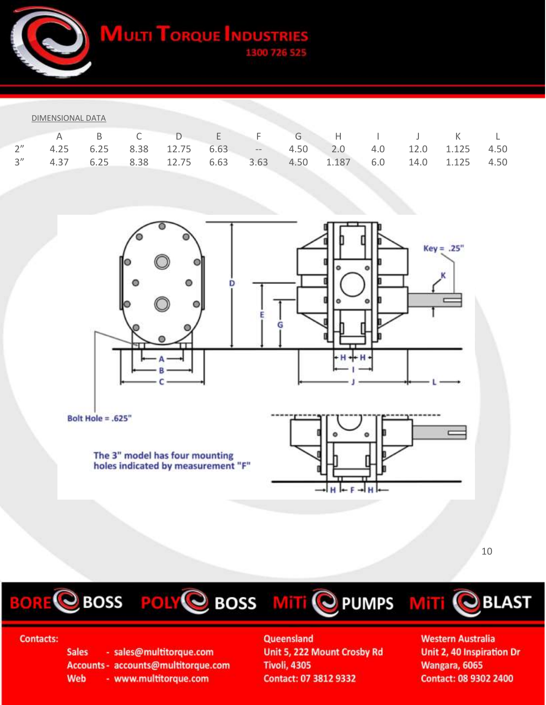**MULTI TORQUE INDUSTR** 

| DIMENSIONAL DATA |  |
|------------------|--|
|                  |  |

|  |  |  |  | A B C D E F G H I J K L                                          |  |  |
|--|--|--|--|------------------------------------------------------------------|--|--|
|  |  |  |  | 2" 4.25 6.25 8.38 12.75 6.63 -- 4.50 2.0 4.0 12.0 1.125 4.50     |  |  |
|  |  |  |  | 3" 4.37 6.25 8.38 12.75 6.63 3.63 4.50 1.187 6.0 14.0 1.125 4.50 |  |  |





The 3" model has four mounting<br>holes indicated by measurement "F"



10

BORE CBOSS POLY CBOSS MITI C PUMPS MITI CBLAST





## **Contacts:**

**Sales** - sales@multitorque.com Accounts - accounts@multitorque.com **Web** - www.multitorque.com

Queensland

Unit 5, 222 Mount Crosby Rd **Tivoli, 4305** Contact: 07 3812 9332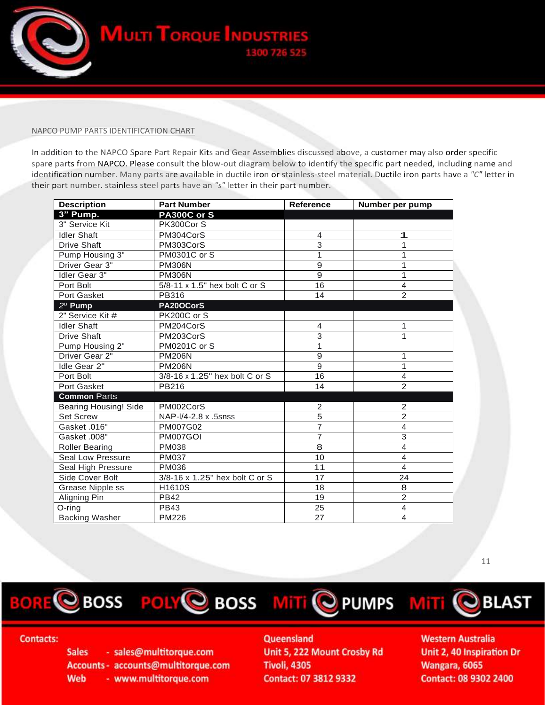

#### NAPCO PUMP PARTS IDENTIFICATION CHART

In addition to the NAPCO Spare Part Repair Kits and Gear Assemblies discussed above, a customer may also order specific spare parts from NAPCO. Please consult the blow-out diagram below to identify the specific part needed, including name and identification number. Many parts are available in ductile iron or stainless-steel material. Ductile iron parts have a *"C"* letter in their part number. stainless steel parts have an *"s"* letter in their part number.

| <b>Description</b>    | <b>Part Number</b>             | <b>Reference</b> | Number per pump |
|-----------------------|--------------------------------|------------------|-----------------|
| 3" Pump.              | <b>PA300C or S</b>             |                  |                 |
| 3" Service Kit        | PK300Cor S                     |                  |                 |
| <b>Idler Shaft</b>    | PM304CorS                      | $\overline{4}$   | 1               |
| <b>Drive Shaft</b>    | PM303CorS                      | 3                | 1               |
| Pump Housing 3"       | <b>PM0301C or S</b>            | 1                | 1               |
| Driver Gear 3"        | <b>PM306N</b>                  | 9                | 1               |
| Idler Gear 3"         | <b>PM306N</b>                  | 9                | 1               |
| Port Bolt             | 5/8-11 x 1.5" hex bolt C or S  | 16               | $\overline{4}$  |
| Port Gasket           | PB316                          | 14               | $\overline{2}$  |
| $2^u$ Pump            | PA20OCorS                      |                  |                 |
| 2" Service Kit #      | PK200C or S                    |                  |                 |
| <b>Idler Shaft</b>    | PM204CorS                      | 4                | 1               |
| Drive Shaft           | PM203CorS                      | 3                | 1               |
| Pump Housing 2"       | <b>PM0201C or S</b>            | 1                |                 |
| Driver Gear 2"        | <b>PM206N</b>                  | 9                | 1               |
| Idle Gear 2"          | <b>PM206N</b>                  | 9                | 1               |
| Port Bolt             | 3/8-16 x 1.25" hex bolt C or S | 16               | $\overline{4}$  |
| Port Gasket           | PB216                          | 14               | $\overline{2}$  |
| <b>Common Parts</b>   |                                |                  |                 |
| Bearing Housing! Side | PM002CorS                      | $\overline{c}$   | $\overline{2}$  |
| <b>Set Screw</b>      | NAP- $1/4$ -2.8 x .5snss       | 5                | $\overline{2}$  |
| Gasket .016"          | PM007G02                       | $\overline{7}$   | $\overline{4}$  |
| Gasket .008"          | PM007GOI                       | $\overline{7}$   | $\overline{3}$  |
| Roller Bearing        | PM038                          | 8                | 4               |
| Seal Low Pressure     | <b>PM037</b>                   | 10               | $\overline{4}$  |
| Seal High Pressure    | PM036                          | 11               | $\overline{4}$  |
| Side Cover Bolt       | 3/8-16 x 1.25" hex bolt C or S | 17               | 24              |
| Grease Nipple ss      | H1610S                         | 18               | 8               |
| Aligning Pin          | <b>PB42</b>                    | 19               | $\overline{2}$  |
| $O$ -ring             | <b>PB43</b>                    | 25               | 4               |
| <b>Backing Washer</b> | PM226                          | 27               | 4               |

11







## **Contacts:**

**Sales** - sales@multitorque.com Accounts - accounts@multitorque.com **Web** - www.multitorque.com

# Queensland

Unit 5, 222 Mount Crosby Rd **Tivoli, 4305** Contact: 07 3812 9332